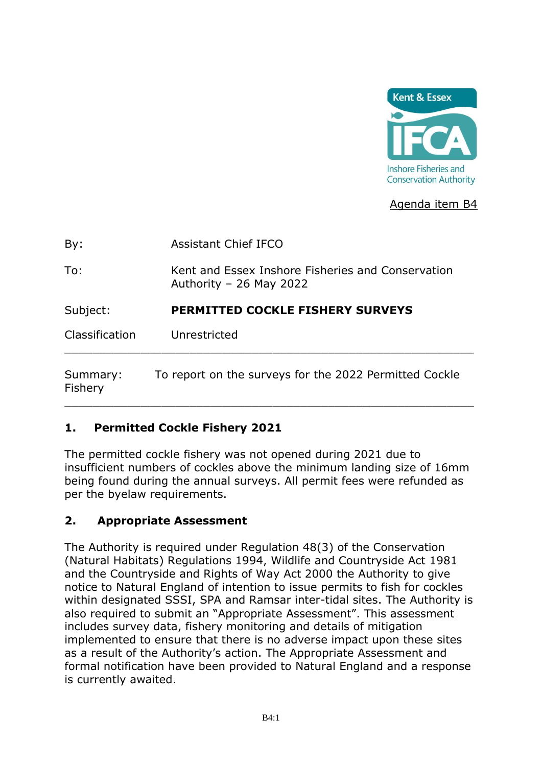

### Agenda item B4

| By:                   | <b>Assistant Chief IFCO</b>                                                  |
|-----------------------|------------------------------------------------------------------------------|
| To:                   | Kent and Essex Inshore Fisheries and Conservation<br>Authority – 26 May 2022 |
| Subject:              | <b>PERMITTED COCKLE FISHERY SURVEYS</b>                                      |
| <b>Classification</b> | Unrestricted                                                                 |
| Summary:<br>Fishery   | To report on the surveys for the 2022 Permitted Cockle                       |

### **1. Permitted Cockle Fishery 2021**

The permitted cockle fishery was not opened during 2021 due to insufficient numbers of cockles above the minimum landing size of 16mm being found during the annual surveys. All permit fees were refunded as per the byelaw requirements.

#### **2. Appropriate Assessment**

The Authority is required under Regulation 48(3) of the Conservation (Natural Habitats) Regulations 1994, Wildlife and Countryside Act 1981 and the Countryside and Rights of Way Act 2000 the Authority to give notice to Natural England of intention to issue permits to fish for cockles within designated SSSI, SPA and Ramsar inter-tidal sites. The Authority is also required to submit an "Appropriate Assessment". This assessment includes survey data, fishery monitoring and details of mitigation implemented to ensure that there is no adverse impact upon these sites as a result of the Authority's action. The Appropriate Assessment and formal notification have been provided to Natural England and a response is currently awaited.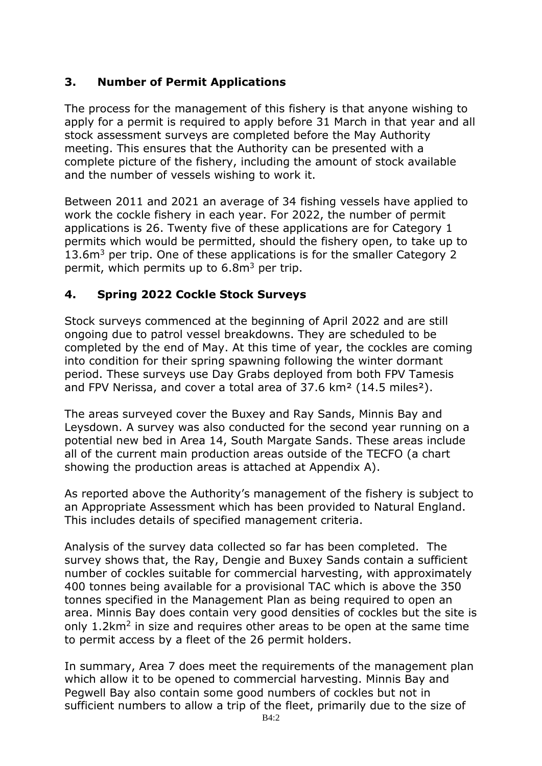## **3. Number of Permit Applications**

The process for the management of this fishery is that anyone wishing to apply for a permit is required to apply before 31 March in that year and all stock assessment surveys are completed before the May Authority meeting. This ensures that the Authority can be presented with a complete picture of the fishery, including the amount of stock available and the number of vessels wishing to work it.

Between 2011 and 2021 an average of 34 fishing vessels have applied to work the cockle fishery in each year. For 2022, the number of permit applications is 26. Twenty five of these applications are for Category 1 permits which would be permitted, should the fishery open, to take up to 13.6m<sup>3</sup> per trip. One of these applications is for the smaller Category 2 permit, which permits up to  $6.8m<sup>3</sup>$  per trip.

## **4. Spring 2022 Cockle Stock Surveys**

Stock surveys commenced at the beginning of April 2022 and are still ongoing due to patrol vessel breakdowns. They are scheduled to be completed by the end of May. At this time of year, the cockles are coming into condition for their spring spawning following the winter dormant period. These surveys use Day Grabs deployed from both FPV Tamesis and FPV Nerissa, and cover a total area of 37.6 km² (14.5 miles²).

The areas surveyed cover the Buxey and Ray Sands, Minnis Bay and Leysdown. A survey was also conducted for the second year running on a potential new bed in Area 14, South Margate Sands. These areas include all of the current main production areas outside of the TECFO (a chart showing the production areas is attached at Appendix A).

As reported above the Authority's management of the fishery is subject to an Appropriate Assessment which has been provided to Natural England. This includes details of specified management criteria.

Analysis of the survey data collected so far has been completed. The survey shows that, the Ray, Dengie and Buxey Sands contain a sufficient number of cockles suitable for commercial harvesting, with approximately 400 tonnes being available for a provisional TAC which is above the 350 tonnes specified in the Management Plan as being required to open an area. Minnis Bay does contain very good densities of cockles but the site is only 1.2km<sup>2</sup> in size and requires other areas to be open at the same time to permit access by a fleet of the 26 permit holders.

In summary, Area 7 does meet the requirements of the management plan which allow it to be opened to commercial harvesting. Minnis Bay and Pegwell Bay also contain some good numbers of cockles but not in sufficient numbers to allow a trip of the fleet, primarily due to the size of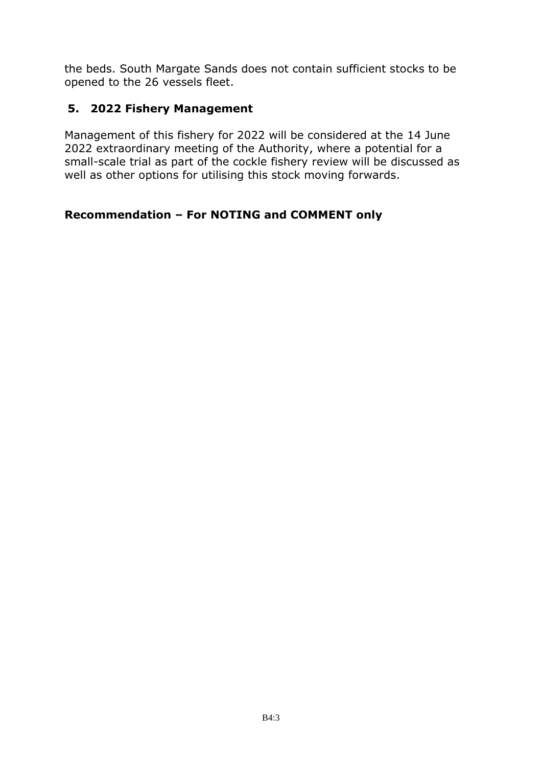the beds. South Margate Sands does not contain sufficient stocks to be opened to the 26 vessels fleet.

### **5. 2022 Fishery Management**

Management of this fishery for 2022 will be considered at the 14 June 2022 extraordinary meeting of the Authority, where a potential for a small-scale trial as part of the cockle fishery review will be discussed as well as other options for utilising this stock moving forwards.

### **Recommendation – For NOTING and COMMENT only**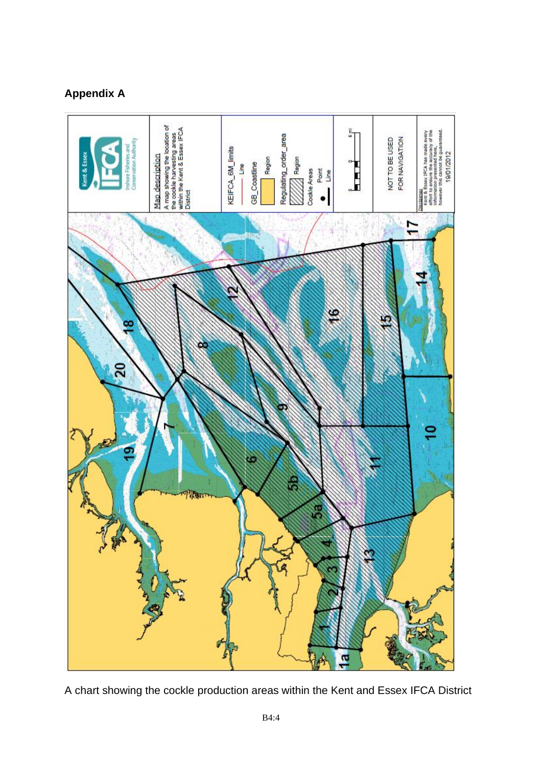## **Appendix A**



A chart showing the cockle production areas within the Kent and Essex IFCA District